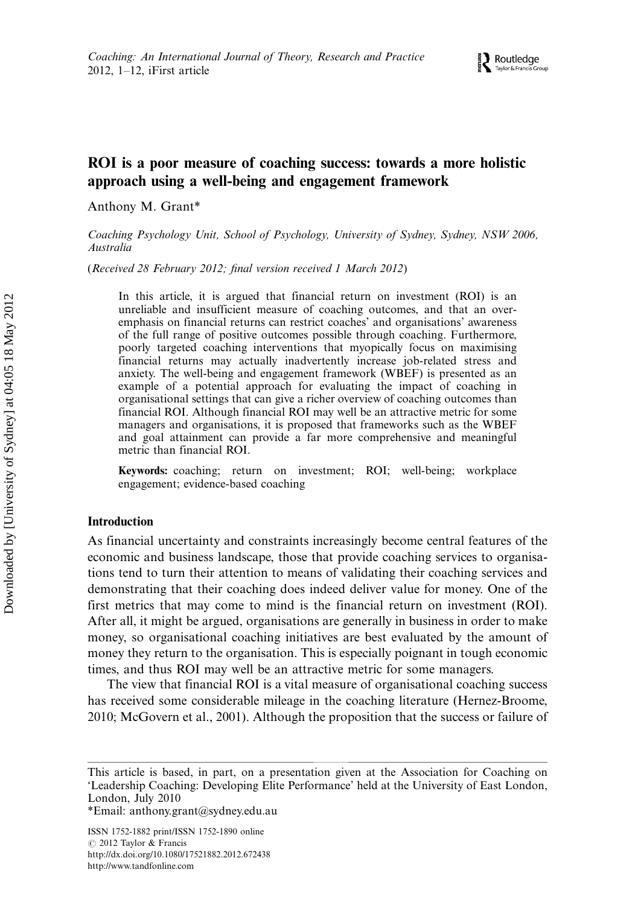# ROI is a poor measure of coaching success: towards a more holistic approach using a well-being and engagement framework

Anthony M. Grant\*

Coaching Psychology Unit, School of Psychology, University of Sydney, Sydney, NSW 2006, Australia

(Received 28 February 2012; final version received 1 March 2012)

In this article, it is argued that financial return on investment (ROI) is an unreliable and insufficient measure of coaching outcomes, and that an overemphasis on financial returns can restrict coaches' and organisations' awareness of the full range of positive outcomes possible through coaching. Furthermore, poorly targeted coaching interventions that myopically focus on maximising financial returns may actually inadvertently increase job-related stress and anxiety. The well-being and engagement framework (WBEF) is presented as an example of a potential approach for evaluating the impact of coaching in organisational settings that can give a richer overview of coaching outcomes than financial ROI. Although financial ROI may well be an attractive metric for some managers and organisations, it is proposed that frameworks such as the WBEF and goal attainment can provide a far more comprehensive and meaningful metric than financial ROI.

Keywords: coaching; return on investment; ROI; well-being; workplace engagement; evidence-based coaching

# Introduction

As financial uncertainty and constraints increasingly become central features of the economic and business landscape, those that provide coaching services to organisations tend to turn their attention to means of validating their coaching services and demonstrating that their coaching does indeed deliver value for money. One of the first metrics that may come to mind is the financial return on investment (ROI). After all, it might be argued, organisations are generally in business in order to make money, so organisational coaching initiatives are best evaluated by the amount of money they return to the organisation. This is especially poignant in tough economic times, and thus ROI may well be an attractive metric for some managers.

The view that financial ROI is a vital measure of organisational coaching success has received some considerable mileage in the coaching literature (Hernez-Broome, 2010; McGovern et al., 2001). Although the proposition that the success or failure of

\*Email: anthony.grant@sydney.edu.au

ISSN 1752-1882 print/ISSN 1752-1890 online  $\odot$  2012 Taylor & Francis <http://dx.doi.org/10.1080/17521882.2012.672438> <http://www.tandfonline.com>

This article is based, in part, on a presentation given at the Association for Coaching on 'Leadership Coaching: Developing Elite Performance' held at the University of East London, London, July 2010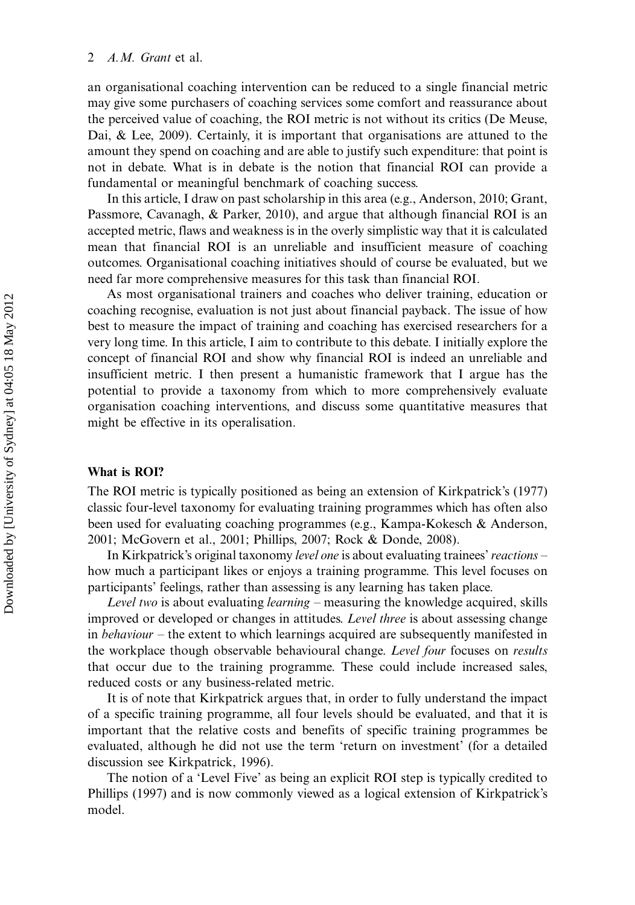an organisational coaching intervention can be reduced to a single financial metric may give some purchasers of coaching services some comfort and reassurance about the perceived value of coaching, the ROI metric is not without its critics (De Meuse, Dai, & Lee, 2009). Certainly, it is important that organisations are attuned to the amount they spend on coaching and are able to justify such expenditure: that point is not in debate. What is in debate is the notion that financial ROI can provide a fundamental or meaningful benchmark of coaching success.

In this article, I draw on past scholarship in this area (e.g., Anderson, 2010; Grant, Passmore, Cavanagh, & Parker, 2010), and argue that although financial ROI is an accepted metric, flaws and weakness is in the overly simplistic way that it is calculated mean that financial ROI is an unreliable and insufficient measure of coaching outcomes. Organisational coaching initiatives should of course be evaluated, but we need far more comprehensive measures for this task than financial ROI.

As most organisational trainers and coaches who deliver training, education or coaching recognise, evaluation is not just about financial payback. The issue of how best to measure the impact of training and coaching has exercised researchers for a very long time. In this article, I aim to contribute to this debate. I initially explore the concept of financial ROI and show why financial ROI is indeed an unreliable and insufficient metric. I then present a humanistic framework that I argue has the potential to provide a taxonomy from which to more comprehensively evaluate organisation coaching interventions, and discuss some quantitative measures that might be effective in its operalisation.

## What is ROI?

The ROI metric is typically positioned as being an extension of Kirkpatrick's (1977) classic four-level taxonomy for evaluating training programmes which has often also been used for evaluating coaching programmes (e.g., Kampa-Kokesch & Anderson, 2001; McGovern et al., 2001; Phillips, 2007; Rock & Donde, 2008).

In Kirkpatrick's original taxonomy level one is about evaluating trainees' reactions how much a participant likes or enjoys a training programme. This level focuses on participants' feelings, rather than assessing is any learning has taken place.

Level two is about evaluating learning  $-$  measuring the knowledge acquired, skills improved or developed or changes in attitudes. Level three is about assessing change in *behaviour*  $-$  the extent to which learnings acquired are subsequently manifested in the workplace though observable behavioural change. Level four focuses on results that occur due to the training programme. These could include increased sales, reduced costs or any business-related metric.

It is of note that Kirkpatrick argues that, in order to fully understand the impact of a specific training programme, all four levels should be evaluated, and that it is important that the relative costs and benefits of specific training programmes be evaluated, although he did not use the term 'return on investment' (for a detailed discussion see Kirkpatrick, 1996).

The notion of a 'Level Five' as being an explicit ROI step is typically credited to Phillips (1997) and is now commonly viewed as a logical extension of Kirkpatrick's model.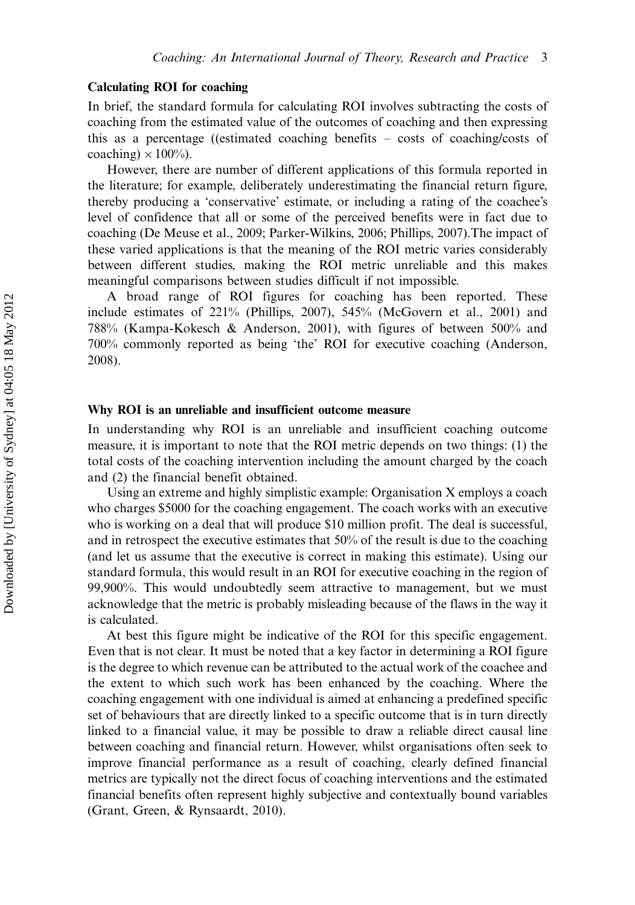# Calculating ROI for coaching

In brief, the standard formula for calculating ROI involves subtracting the costs of coaching from the estimated value of the outcomes of coaching and then expressing this as a percentage ((estimated coaching benefits  $-\cos$  costs of coaching/costs of coaching)  $\times 100\%$ ).

However, there are number of different applications of this formula reported in the literature; for example, deliberately underestimating the financial return figure, thereby producing a 'conservative' estimate, or including a rating of the coachee's level of confidence that all or some of the perceived benefits were in fact due to coaching (De Meuse et al., 2009; Parker-Wilkins, 2006; Phillips, 2007).The impact of these varied applications is that the meaning of the ROI metric varies considerably between different studies, making the ROI metric unreliable and this makes meaningful comparisons between studies difficult if not impossible.

A broad range of ROI figures for coaching has been reported. These include estimates of 221% (Phillips, 2007), 545% (McGovern et al., 2001) and 788% (Kampa-Kokesch & Anderson, 2001), with figures of between 500% and 700% commonly reported as being 'the' ROI for executive coaching (Anderson, 2008).

# Why ROI is an unreliable and insufficient outcome measure

In understanding why ROI is an unreliable and insufficient coaching outcome measure, it is important to note that the ROI metric depends on two things: (1) the total costs of the coaching intervention including the amount charged by the coach and (2) the financial benefit obtained.

Using an extreme and highly simplistic example: Organisation X employs a coach who charges \$5000 for the coaching engagement. The coach works with an executive who is working on a deal that will produce \$10 million profit. The deal is successful, and in retrospect the executive estimates that 50% of the result is due to the coaching (and let us assume that the executive is correct in making this estimate). Using our standard formula, this would result in an ROI for executive coaching in the region of 99,900%. This would undoubtedly seem attractive to management, but we must acknowledge that the metric is probably misleading because of the flaws in the way it is calculated.

At best this figure might be indicative of the ROI for this specific engagement. Even that is not clear. It must be noted that a key factor in determining a ROI figure is the degree to which revenue can be attributed to the actual work of the coachee and the extent to which such work has been enhanced by the coaching. Where the coaching engagement with one individual is aimed at enhancing a predefined specific set of behaviours that are directly linked to a specific outcome that is in turn directly linked to a financial value, it may be possible to draw a reliable direct causal line between coaching and financial return. However, whilst organisations often seek to improve financial performance as a result of coaching, clearly defined financial metrics are typically not the direct focus of coaching interventions and the estimated financial benefits often represent highly subjective and contextually bound variables (Grant, Green, & Rynsaardt, 2010).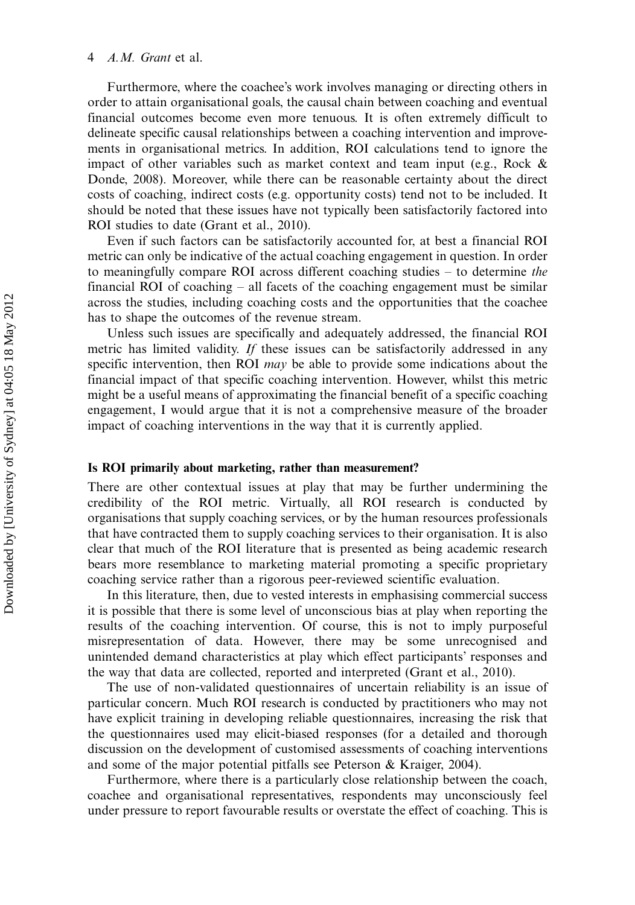Furthermore, where the coachee's work involves managing or directing others in order to attain organisational goals, the causal chain between coaching and eventual financial outcomes become even more tenuous. It is often extremely difficult to delineate specific causal relationships between a coaching intervention and improvements in organisational metrics. In addition, ROI calculations tend to ignore the impact of other variables such as market context and team input (e.g., Rock & Donde, 2008). Moreover, while there can be reasonable certainty about the direct costs of coaching, indirect costs (e.g. opportunity costs) tend not to be included. It should be noted that these issues have not typically been satisfactorily factored into ROI studies to date (Grant et al., 2010).

Even if such factors can be satisfactorily accounted for, at best a financial ROI metric can only be indicative of the actual coaching engagement in question. In order to meaningfully compare ROI across different coaching studies  $-$  to determine the financial ROI of coaching  $-$  all facets of the coaching engagement must be similar across the studies, including coaching costs and the opportunities that the coachee has to shape the outcomes of the revenue stream.

Unless such issues are specifically and adequately addressed, the financial ROI metric has limited validity. If these issues can be satisfactorily addressed in any specific intervention, then ROI *may* be able to provide some indications about the financial impact of that specific coaching intervention. However, whilst this metric might be a useful means of approximating the financial benefit of a specific coaching engagement, I would argue that it is not a comprehensive measure of the broader impact of coaching interventions in the way that it is currently applied.

## Is ROI primarily about marketing, rather than measurement?

There are other contextual issues at play that may be further undermining the credibility of the ROI metric. Virtually, all ROI research is conducted by organisations that supply coaching services, or by the human resources professionals that have contracted them to supply coaching services to their organisation. It is also clear that much of the ROI literature that is presented as being academic research bears more resemblance to marketing material promoting a specific proprietary coaching service rather than a rigorous peer-reviewed scientific evaluation.

In this literature, then, due to vested interests in emphasising commercial success it is possible that there is some level of unconscious bias at play when reporting the results of the coaching intervention. Of course, this is not to imply purposeful misrepresentation of data. However, there may be some unrecognised and unintended demand characteristics at play which effect participants' responses and the way that data are collected, reported and interpreted (Grant et al., 2010).

The use of non-validated questionnaires of uncertain reliability is an issue of particular concern. Much ROI research is conducted by practitioners who may not have explicit training in developing reliable questionnaires, increasing the risk that the questionnaires used may elicit-biased responses (for a detailed and thorough discussion on the development of customised assessments of coaching interventions and some of the major potential pitfalls see Peterson & Kraiger, 2004).

Furthermore, where there is a particularly close relationship between the coach, coachee and organisational representatives, respondents may unconsciously feel under pressure to report favourable results or overstate the effect of coaching. This is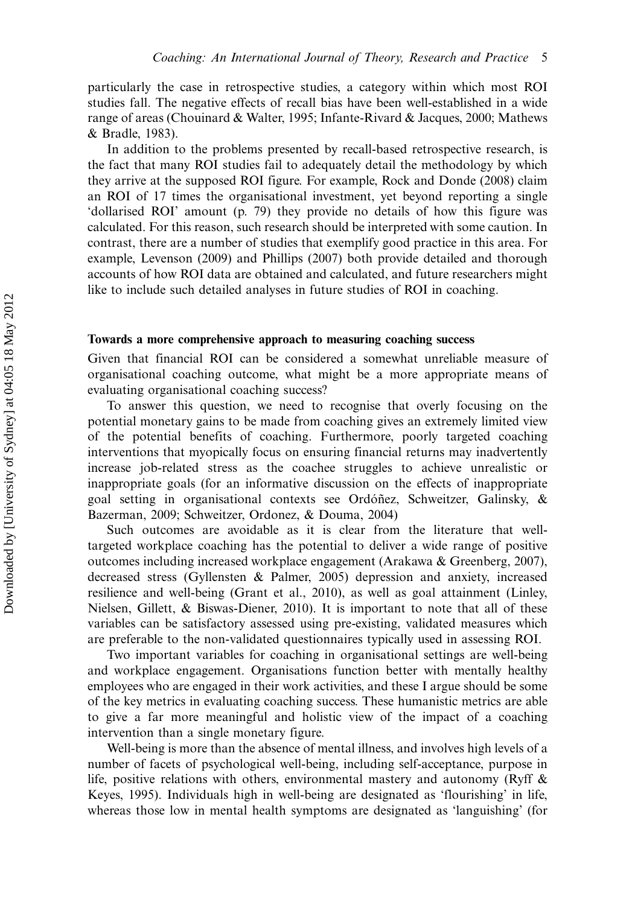particularly the case in retrospective studies, a category within which most ROI studies fall. The negative effects of recall bias have been well-established in a wide range of areas (Chouinard & Walter, 1995; Infante-Rivard & Jacques, 2000; Mathews & Bradle, 1983).

In addition to the problems presented by recall-based retrospective research, is the fact that many ROI studies fail to adequately detail the methodology by which they arrive at the supposed ROI figure. For example, Rock and Donde (2008) claim an ROI of 17 times the organisational investment, yet beyond reporting a single 'dollarised ROI' amount (p. 79) they provide no details of how this figure was calculated. For this reason, such research should be interpreted with some caution. In contrast, there are a number of studies that exemplify good practice in this area. For example, Levenson (2009) and Phillips (2007) both provide detailed and thorough accounts of how ROI data are obtained and calculated, and future researchers might like to include such detailed analyses in future studies of ROI in coaching.

#### Towards a more comprehensive approach to measuring coaching success

Given that financial ROI can be considered a somewhat unreliable measure of organisational coaching outcome, what might be a more appropriate means of evaluating organisational coaching success?

To answer this question, we need to recognise that overly focusing on the potential monetary gains to be made from coaching gives an extremely limited view of the potential benefits of coaching. Furthermore, poorly targeted coaching interventions that myopically focus on ensuring financial returns may inadvertently increase job-related stress as the coachee struggles to achieve unrealistic or inappropriate goals (for an informative discussion on the effects of inappropriate goal setting in organisational contexts see Ordoñez, Schweitzer, Galinsky,  $\&$ Bazerman, 2009; Schweitzer, Ordonez, & Douma, 2004)

Such outcomes are avoidable as it is clear from the literature that welltargeted workplace coaching has the potential to deliver a wide range of positive outcomes including increased workplace engagement (Arakawa & Greenberg, 2007), decreased stress (Gyllensten & Palmer, 2005) depression and anxiety, increased resilience and well-being (Grant et al., 2010), as well as goal attainment (Linley, Nielsen, Gillett, & Biswas-Diener, 2010). It is important to note that all of these variables can be satisfactory assessed using pre-existing, validated measures which are preferable to the non-validated questionnaires typically used in assessing ROI.

Two important variables for coaching in organisational settings are well-being and workplace engagement. Organisations function better with mentally healthy employees who are engaged in their work activities, and these I argue should be some of the key metrics in evaluating coaching success. These humanistic metrics are able to give a far more meaningful and holistic view of the impact of a coaching intervention than a single monetary figure.

Well-being is more than the absence of mental illness, and involves high levels of a number of facets of psychological well-being, including self-acceptance, purpose in life, positive relations with others, environmental mastery and autonomy (Ryff & Keyes, 1995). Individuals high in well-being are designated as 'flourishing' in life, whereas those low in mental health symptoms are designated as 'languishing' (for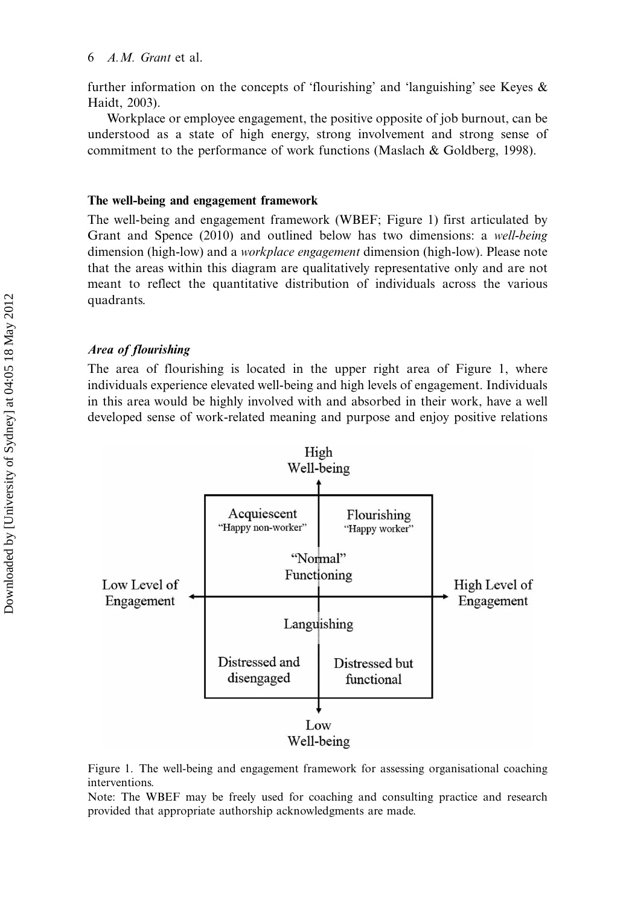further information on the concepts of 'flourishing' and 'languishing' see Keyes & Haidt, 2003).

Workplace or employee engagement, the positive opposite of job burnout, can be understood as a state of high energy, strong involvement and strong sense of commitment to the performance of work functions (Maslach & Goldberg, 1998).

# The well-being and engagement framework

The well-being and engagement framework (WBEF; Figure 1) first articulated by Grant and Spence (2010) and outlined below has two dimensions: a well-being dimension (high-low) and a *workplace engagement* dimension (high-low). Please note that the areas within this diagram are qualitatively representative only and are not meant to reflect the quantitative distribution of individuals across the various quadrants.

## Area of flourishing

The area of flourishing is located in the upper right area of Figure 1, where individuals experience elevated well-being and high levels of engagement. Individuals in this area would be highly involved with and absorbed in their work, have a well developed sense of work-related meaning and purpose and enjoy positive relations



Figure 1. The well-being and engagement framework for assessing organisational coaching interventions.

Note: The WBEF may be freely used for coaching and consulting practice and research provided that appropriate authorship acknowledgments are made.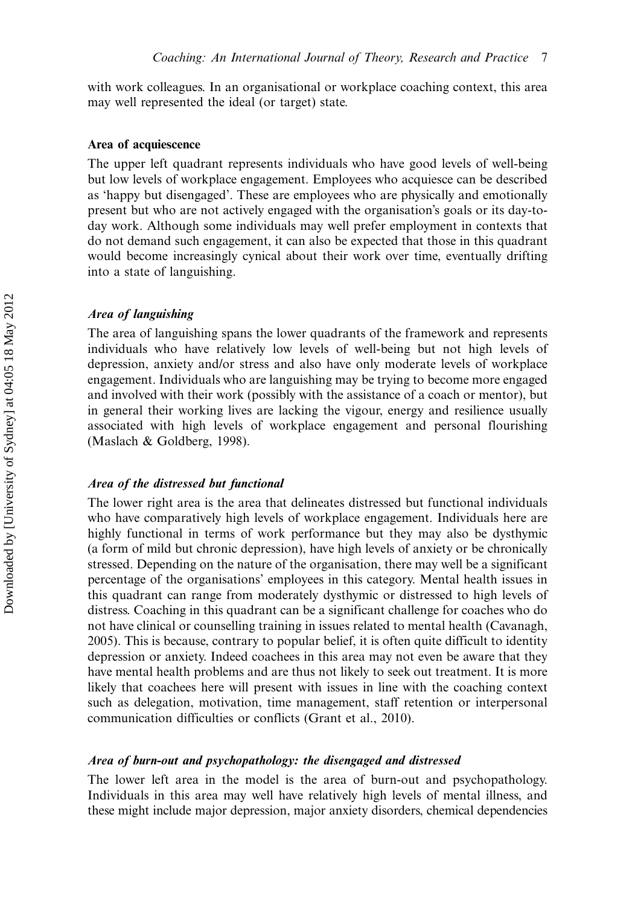with work colleagues. In an organisational or workplace coaching context, this area may well represented the ideal (or target) state.

#### Area of acquiescence

The upper left quadrant represents individuals who have good levels of well-being but low levels of workplace engagement. Employees who acquiesce can be described as 'happy but disengaged'. These are employees who are physically and emotionally present but who are not actively engaged with the organisation's goals or its day-today work. Although some individuals may well prefer employment in contexts that do not demand such engagement, it can also be expected that those in this quadrant would become increasingly cynical about their work over time, eventually drifting into a state of languishing.

### Area of languishing

The area of languishing spans the lower quadrants of the framework and represents individuals who have relatively low levels of well-being but not high levels of depression, anxiety and/or stress and also have only moderate levels of workplace engagement. Individuals who are languishing may be trying to become more engaged and involved with their work (possibly with the assistance of a coach or mentor), but in general their working lives are lacking the vigour, energy and resilience usually associated with high levels of workplace engagement and personal flourishing (Maslach & Goldberg, 1998).

## Area of the distressed but functional

The lower right area is the area that delineates distressed but functional individuals who have comparatively high levels of workplace engagement. Individuals here are highly functional in terms of work performance but they may also be dysthymic (a form of mild but chronic depression), have high levels of anxiety or be chronically stressed. Depending on the nature of the organisation, there may well be a significant percentage of the organisations' employees in this category. Mental health issues in this quadrant can range from moderately dysthymic or distressed to high levels of distress. Coaching in this quadrant can be a significant challenge for coaches who do not have clinical or counselling training in issues related to mental health (Cavanagh, 2005). This is because, contrary to popular belief, it is often quite difficult to identity depression or anxiety. Indeed coachees in this area may not even be aware that they have mental health problems and are thus not likely to seek out treatment. It is more likely that coachees here will present with issues in line with the coaching context such as delegation, motivation, time management, staff retention or interpersonal communication difficulties or conflicts (Grant et al., 2010).

### Area of burn-out and psychopathology: the disengaged and distressed

The lower left area in the model is the area of burn-out and psychopathology. Individuals in this area may well have relatively high levels of mental illness, and these might include major depression, major anxiety disorders, chemical dependencies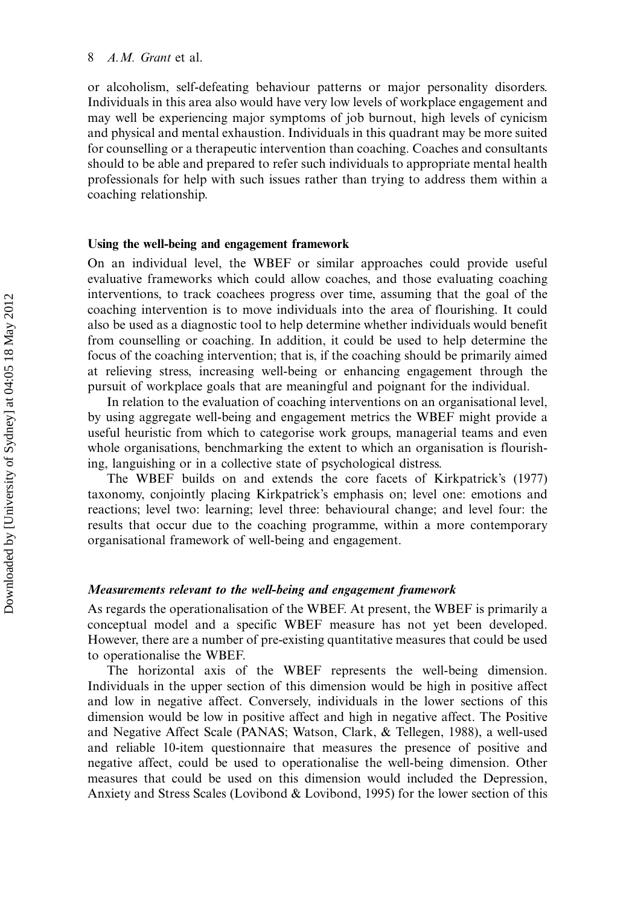or alcoholism, self-defeating behaviour patterns or major personality disorders. Individuals in this area also would have very low levels of workplace engagement and may well be experiencing major symptoms of job burnout, high levels of cynicism and physical and mental exhaustion. Individuals in this quadrant may be more suited for counselling or a therapeutic intervention than coaching. Coaches and consultants should to be able and prepared to refer such individuals to appropriate mental health professionals for help with such issues rather than trying to address them within a coaching relationship.

### Using the well-being and engagement framework

On an individual level, the WBEF or similar approaches could provide useful evaluative frameworks which could allow coaches, and those evaluating coaching interventions, to track coachees progress over time, assuming that the goal of the coaching intervention is to move individuals into the area of flourishing. It could also be used as a diagnostic tool to help determine whether individuals would benefit from counselling or coaching. In addition, it could be used to help determine the focus of the coaching intervention; that is, if the coaching should be primarily aimed at relieving stress, increasing well-being or enhancing engagement through the pursuit of workplace goals that are meaningful and poignant for the individual.

In relation to the evaluation of coaching interventions on an organisational level, by using aggregate well-being and engagement metrics the WBEF might provide a useful heuristic from which to categorise work groups, managerial teams and even whole organisations, benchmarking the extent to which an organisation is flourishing, languishing or in a collective state of psychological distress.

The WBEF builds on and extends the core facets of Kirkpatrick's (1977) taxonomy, conjointly placing Kirkpatrick's emphasis on; level one: emotions and reactions; level two: learning; level three: behavioural change; and level four: the results that occur due to the coaching programme, within a more contemporary organisational framework of well-being and engagement.

# Measurements relevant to the well-being and engagement framework

As regards the operationalisation of the WBEF. At present, the WBEF is primarily a conceptual model and a specific WBEF measure has not yet been developed. However, there are a number of pre-existing quantitative measures that could be used to operationalise the WBEF.

The horizontal axis of the WBEF represents the well-being dimension. Individuals in the upper section of this dimension would be high in positive affect and low in negative affect. Conversely, individuals in the lower sections of this dimension would be low in positive affect and high in negative affect. The Positive and Negative Affect Scale (PANAS; Watson, Clark, & Tellegen, 1988), a well-used and reliable 10-item questionnaire that measures the presence of positive and negative affect, could be used to operationalise the well-being dimension. Other measures that could be used on this dimension would included the Depression, Anxiety and Stress Scales (Lovibond & Lovibond, 1995) for the lower section of this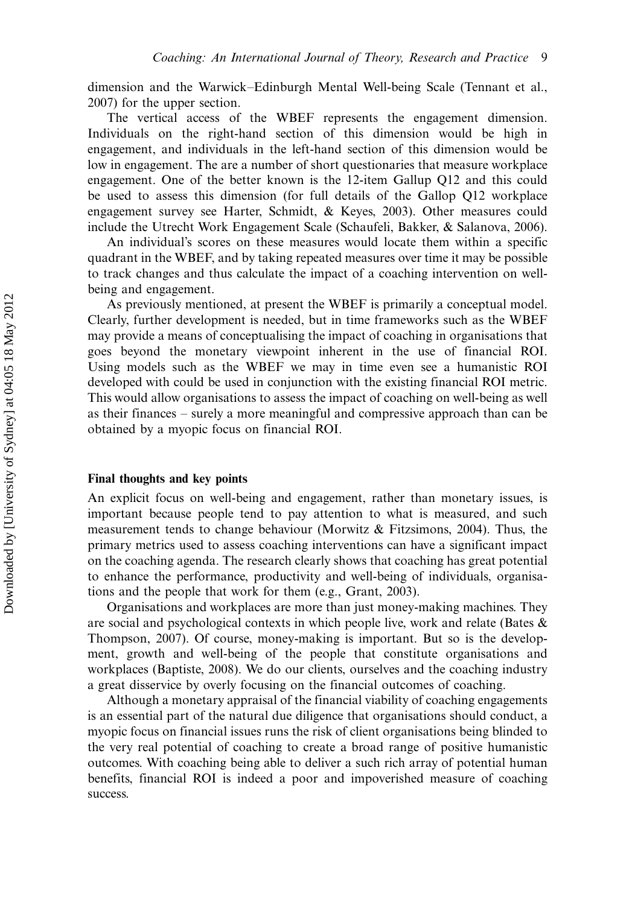dimension and the Warwick-Edinburgh Mental Well-being Scale (Tennant et al., 2007) for the upper section.

The vertical access of the WBEF represents the engagement dimension. Individuals on the right-hand section of this dimension would be high in engagement, and individuals in the left-hand section of this dimension would be low in engagement. The are a number of short questionaries that measure workplace engagement. One of the better known is the 12-item Gallup Q12 and this could be used to assess this dimension (for full details of the Gallop Q12 workplace engagement survey see Harter, Schmidt, & Keyes, 2003). Other measures could include the Utrecht Work Engagement Scale (Schaufeli, Bakker, & Salanova, 2006).

An individual's scores on these measures would locate them within a specific quadrant in the WBEF, and by taking repeated measures over time it may be possible to track changes and thus calculate the impact of a coaching intervention on wellbeing and engagement.

As previously mentioned, at present the WBEF is primarily a conceptual model. Clearly, further development is needed, but in time frameworks such as the WBEF may provide a means of conceptualising the impact of coaching in organisations that goes beyond the monetary viewpoint inherent in the use of financial ROI. Using models such as the WBEF we may in time even see a humanistic ROI developed with could be used in conjunction with the existing financial ROI metric. This would allow organisations to assess the impact of coaching on well-being as well as their finances – surely a more meaningful and compressive approach than can be obtained by a myopic focus on financial ROI.

### Final thoughts and key points

An explicit focus on well-being and engagement, rather than monetary issues, is important because people tend to pay attention to what is measured, and such measurement tends to change behaviour (Morwitz & Fitzsimons, 2004). Thus, the primary metrics used to assess coaching interventions can have a significant impact on the coaching agenda. The research clearly shows that coaching has great potential to enhance the performance, productivity and well-being of individuals, organisations and the people that work for them (e.g., Grant, 2003).

Organisations and workplaces are more than just money-making machines. They are social and psychological contexts in which people live, work and relate (Bates & Thompson, 2007). Of course, money-making is important. But so is the development, growth and well-being of the people that constitute organisations and workplaces (Baptiste, 2008). We do our clients, ourselves and the coaching industry a great disservice by overly focusing on the financial outcomes of coaching.

Although a monetary appraisal of the financial viability of coaching engagements is an essential part of the natural due diligence that organisations should conduct, a myopic focus on financial issues runs the risk of client organisations being blinded to the very real potential of coaching to create a broad range of positive humanistic outcomes. With coaching being able to deliver a such rich array of potential human benefits, financial ROI is indeed a poor and impoverished measure of coaching success.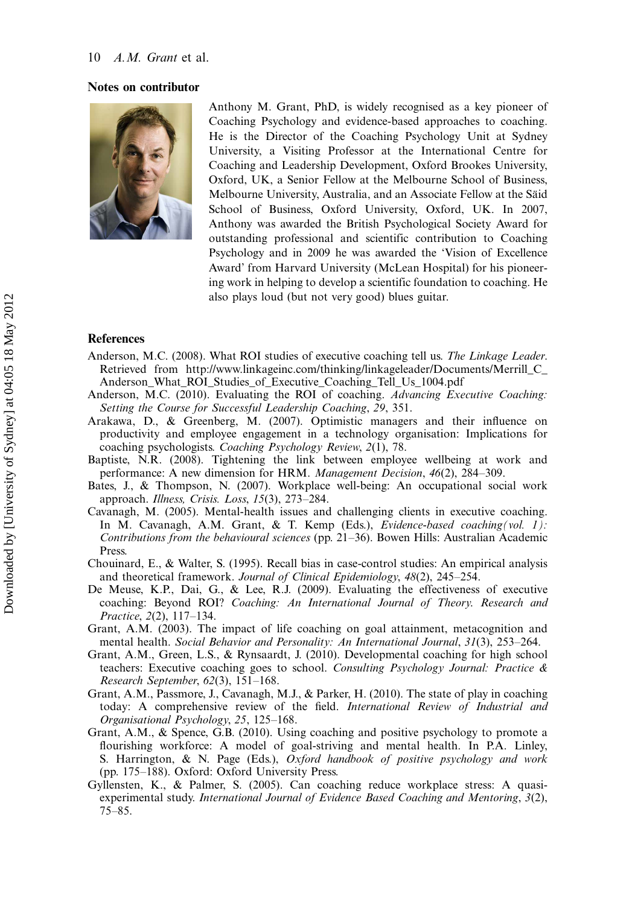### Notes on contributor



Anthony M. Grant, PhD, is widely recognised as a key pioneer of Coaching Psychology and evidence-based approaches to coaching. He is the Director of the Coaching Psychology Unit at Sydney University, a Visiting Professor at the International Centre for Coaching and Leadership Development, Oxford Brookes University, Oxford, UK, a Senior Fellow at the Melbourne School of Business, Melbourne University, Australia, and an Associate Fellow at the Säid School of Business, Oxford University, Oxford, UK. In 2007, Anthony was awarded the British Psychological Society Award for outstanding professional and scientific contribution to Coaching Psychology and in 2009 he was awarded the 'Vision of Excellence Award' from Harvard University (McLean Hospital) for his pioneering work in helping to develop a scientific foundation to coaching. He also plays loud (but not very good) blues guitar.

### References

- Anderson, M.C. (2008). What ROI studies of executive coaching tell us. The Linkage Leader. Retrieved from [http://www.linkageinc.com/thinking/linkageleader/Documents/Merrill\\_C\\_](http://www.linkageinc.com/thinking/linkageleader/Documents/Merrill_C_Anderson_What_ROI_Studies_of_Executive_Coaching_Tell_Us_1004.pdf) [Anderson\\_What\\_ROI\\_Studies\\_of\\_Executive\\_Coaching\\_Tell\\_Us\\_1004.pdf](http://www.linkageinc.com/thinking/linkageleader/Documents/Merrill_C_Anderson_What_ROI_Studies_of_Executive_Coaching_Tell_Us_1004.pdf)
- Anderson, M.C. (2010). Evaluating the ROI of coaching. Advancing Executive Coaching: Setting the Course for Successful Leadership Coaching, 29, 351.
- Arakawa, D., & Greenberg, M. (2007). Optimistic managers and their influence on productivity and employee engagement in a technology organisation: Implications for coaching psychologists. Coaching Psychology Review, 2(1), 78.
- Baptiste, N.R. (2008). Tightening the link between employee wellbeing at work and performance: A new dimension for HRM. Management Decision, 46(2), 284-309.
- Bates, J., & Thompson, N. (2007). Workplace well-being: An occupational social work approach. Illness, Crisis. Loss,  $15(3)$ ,  $273-284$ .
- Cavanagh, M. (2005). Mental-health issues and challenging clients in executive coaching. In M. Cavanagh, A.M. Grant, & T. Kemp (Eds.), *Evidence-based coaching(vol. 1)*: Contributions from the behavioural sciences (pp. 21-36). Bowen Hills: Australian Academic Press.
- Chouinard, E., & Walter, S. (1995). Recall bias in case-control studies: An empirical analysis and theoretical framework. Journal of Clinical Epidemiology, 48(2), 245-254.
- De Meuse, K.P., Dai, G., & Lee, R.J. (2009). Evaluating the effectiveness of executive coaching: Beyond ROI? Coaching: An International Journal of Theory. Research and Practice, 2(2), 117-134.
- Grant, A.M. (2003). The impact of life coaching on goal attainment, metacognition and mental health. Social Behavior and Personality: An International Journal, 31(3), 253–264.
- Grant, A.M., Green, L.S., & Rynsaardt, J. (2010). Developmental coaching for high school teachers: Executive coaching goes to school. Consulting Psychology Journal: Practice & Research September,  $62(3)$ ,  $151-168$ .
- Grant, A.M., Passmore, J., Cavanagh, M.J., & Parker, H. (2010). The state of play in coaching today: A comprehensive review of the field. International Review of Industrial and Organisational Psychology, 25, 125–168.
- Grant, A.M., & Spence, G.B. (2010). Using coaching and positive psychology to promote a flourishing workforce: A model of goal-striving and mental health. In P.A. Linley, S. Harrington, & N. Page (Eds.), Oxford handbook of positive psychology and work (pp. 175-188). Oxford: Oxford University Press.
- Gyllensten, K., & Palmer, S. (2005). Can coaching reduce workplace stress: A quasiexperimental study. International Journal of Evidence Based Coaching and Mentoring, 3(2),  $75 - 85.$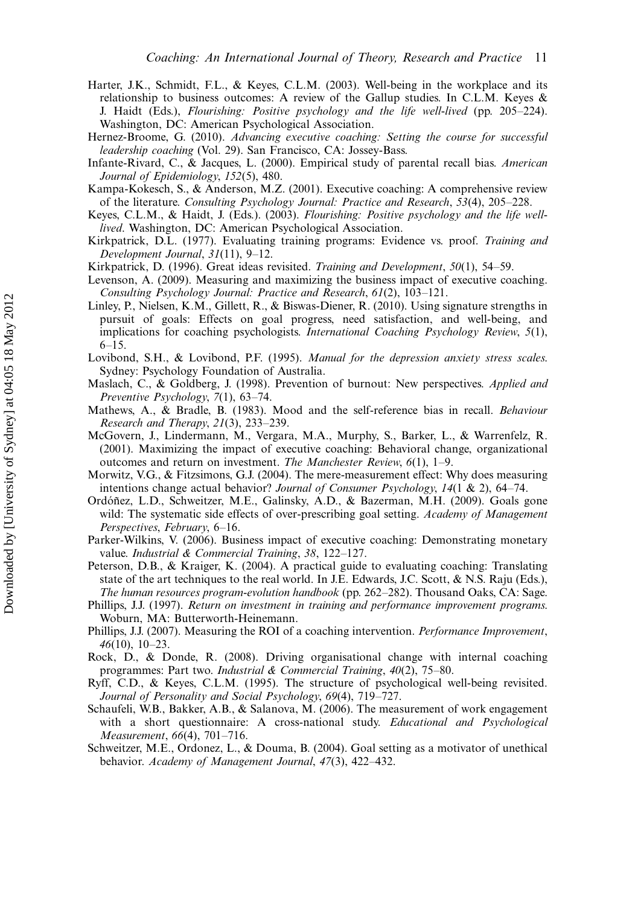- Harter, J.K., Schmidt, F.L., & Keyes, C.L.M. (2003). Well-being in the workplace and its relationship to business outcomes: A review of the Gallup studies. In C.L.M. Keyes & J. Haidt (Eds.), Flourishing: Positive psychology and the life well-lived (pp. 205–224). Washington, DC: American Psychological Association.
- Hernez-Broome, G. (2010). Advancing executive coaching: Setting the course for successful leadership coaching (Vol. 29). San Francisco, CA: Jossey-Bass.
- Infante-Rivard, C., & Jacques, L. (2000). Empirical study of parental recall bias. American Journal of Epidemiology, 152(5), 480.
- Kampa-Kokesch, S., & Anderson, M.Z. (2001). Executive coaching: A comprehensive review of the literature. Consulting Psychology Journal: Practice and Research, 53(4), 205–228.
- Keyes, C.L.M., & Haidt, J. (Eds.). (2003). Flourishing: Positive psychology and the life welllived. Washington, DC: American Psychological Association.
- Kirkpatrick, D.L. (1977). Evaluating training programs: Evidence vs. proof. Training and Development Journal,  $31(11)$ ,  $9-12$ .
- Kirkpatrick, D. (1996). Great ideas revisited. Training and Development,  $50(1)$ ,  $54-59$ .
- Levenson, A. (2009). Measuring and maximizing the business impact of executive coaching. Consulting Psychology Journal: Practice and Research, 61(2), 103-121.
- Linley, P., Nielsen, K.M., Gillett, R., & Biswas-Diener, R. (2010). Using signature strengths in pursuit of goals: Effects on goal progress, need satisfaction, and well-being, and implications for coaching psychologists. International Coaching Psychology Review, 5(1),  $6-15.$
- Lovibond, S.H., & Lovibond, P.F. (1995). Manual for the depression anxiety stress scales. Sydney: Psychology Foundation of Australia.
- Maslach, C., & Goldberg, J. (1998). Prevention of burnout: New perspectives. Applied and Preventive Psychology,  $7(1)$ , 63-74.
- Mathews, A., & Bradle, B. (1983). Mood and the self-reference bias in recall. Behaviour Research and Therapy,  $21(3)$ ,  $233-239$ .
- McGovern, J., Lindermann, M., Vergara, M.A., Murphy, S., Barker, L., & Warrenfelz, R. (2001). Maximizing the impact of executive coaching: Behavioral change, organizational outcomes and return on investment. The Manchester Review, 6(1), 1-9.
- Morwitz, V.G., & Fitzsimons, G.J. (2004). The mere-measurement effect: Why does measuring intentions change actual behavior? Journal of Consumer Psychology,  $14(1 \& 2)$ , 64–74.
- Ordóñez, L.D., Schweitzer, M.E., Galinsky, A.D., & Bazerman, M.H. (2009). Goals gone wild: The systematic side effects of over-prescribing goal setting. Academy of Management Perspectives, February, 6-16.
- Parker-Wilkins, V. (2006). Business impact of executive coaching: Demonstrating monetary value. Industrial & Commercial Training, 38, 122-127.
- Peterson, D.B., & Kraiger, K. (2004). A practical guide to evaluating coaching: Translating state of the art techniques to the real world. In J.E. Edwards, J.C. Scott, & N.S. Raju (Eds.), The human resources program-evolution handbook (pp. 262–282). Thousand Oaks, CA: Sage.
- Phillips, J.J. (1997). Return on investment in training and performance improvement programs. Woburn, MA: Butterworth-Heinemann.
- Phillips, J.J. (2007). Measuring the ROI of a coaching intervention. Performance Improvement,  $46(10)$ ,  $10-23$ .
- Rock, D., & Donde, R. (2008). Driving organisational change with internal coaching programmes: Part two. Industrial & Commercial Training, 40(2), 75-80.
- Ryff, C.D., & Keyes, C.L.M. (1995). The structure of psychological well-being revisited. Journal of Personality and Social Psychology, 69(4), 719–727.
- Schaufeli, W.B., Bakker, A.B., & Salanova, M. (2006). The measurement of work engagement with a short questionnaire: A cross-national study. Educational and Psychological  $Measurement, 66(4), 701-716.$
- Schweitzer, M.E., Ordonez, L., & Douma, B. (2004). Goal setting as a motivator of unethical behavior. Academy of Management Journal, 47(3), 422-432.